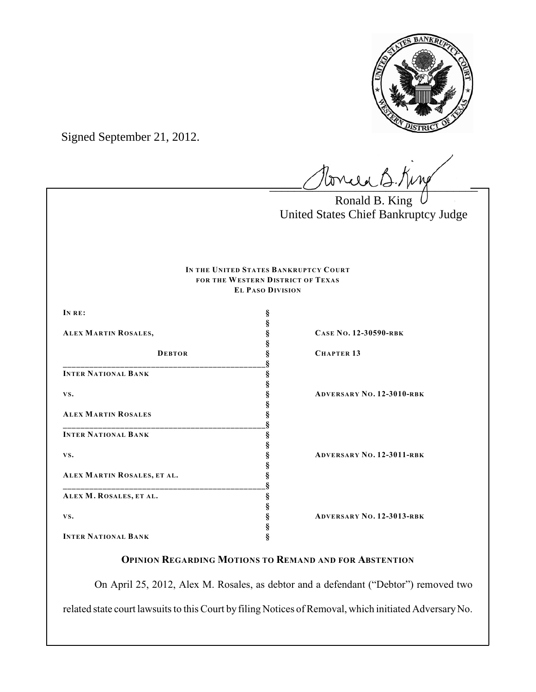

Signed September 21, 2012.

brield B. King

Ronald B. King United States Chief Bankruptcy Judge

#### **IN THE UNITED STATES BANKRUPTCY COURT FOR THE WESTERN DISTRICT OF TEXAS EL PASO DIVISION**

| IN RE:                      | ş |                                  |
|-----------------------------|---|----------------------------------|
|                             | ş |                                  |
| ALEX MARTIN ROSALES,        | § | CASE No. 12-30590-RBK            |
|                             |   |                                  |
| <b>DEBTOR</b>               |   | <b>CHAPTER 13</b>                |
|                             |   |                                  |
| <b>INTER NATIONAL BANK</b>  | § |                                  |
|                             | ş |                                  |
| VS.                         | ş | <b>ADVERSARY NO. 12-3010-RBK</b> |
|                             | § |                                  |
| <b>ALEX MARTIN ROSALES</b>  |   |                                  |
|                             |   |                                  |
| <b>INTER NATIONAL BANK</b>  | Ş |                                  |
|                             | ş |                                  |
| VS.                         | § | <b>ADVERSARY NO. 12-3011-RBK</b> |
|                             | ş |                                  |
| ALEX MARTIN ROSALES, ET AL. |   |                                  |
|                             |   |                                  |
| ALEX M. ROSALES, ET AL.     | § |                                  |
|                             | ş |                                  |
| VS.                         |   | <b>ADVERSARY NO. 12-3013-RBK</b> |
|                             |   |                                  |
| <b>INTER NATIONAL BANK</b>  | ş |                                  |

# **OPINION REGARDING MOTIONS TO REMAND AND FOR ABSTENTION**

On April 25, 2012, Alex M. Rosales, as debtor and a defendant ("Debtor") removed two related state court lawsuits to this Court by filing Notices of Removal, which initiated Adversary No.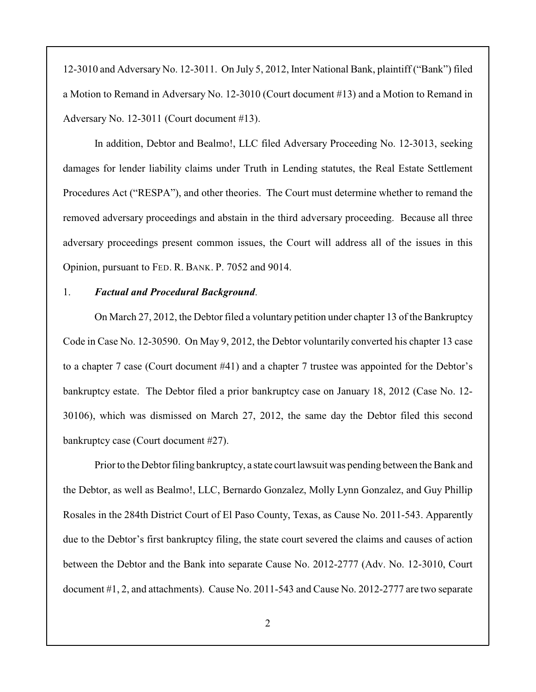12-3010 and Adversary No. 12-3011. On July 5, 2012, Inter National Bank, plaintiff ("Bank") filed a Motion to Remand in Adversary No. 12-3010 (Court document #13) and a Motion to Remand in Adversary No. 12-3011 (Court document #13).

In addition, Debtor and Bealmo!, LLC filed Adversary Proceeding No. 12-3013, seeking damages for lender liability claims under Truth in Lending statutes, the Real Estate Settlement Procedures Act ("RESPA"), and other theories. The Court must determine whether to remand the removed adversary proceedings and abstain in the third adversary proceeding. Because all three adversary proceedings present common issues, the Court will address all of the issues in this Opinion, pursuant to FED. R. BANK. P. 7052 and 9014.

#### 1. *Factual and Procedural Background*.

On March 27, 2012, the Debtor filed a voluntary petition under chapter 13 of the Bankruptcy Code in Case No. 12-30590. On May 9, 2012, the Debtor voluntarily converted his chapter 13 case to a chapter 7 case (Court document #41) and a chapter 7 trustee was appointed for the Debtor's bankruptcy estate. The Debtor filed a prior bankruptcy case on January 18, 2012 (Case No. 12- 30106), which was dismissed on March 27, 2012, the same day the Debtor filed this second bankruptcy case (Court document #27).

Prior to theDebtor filing bankruptcy, a state court lawsuit was pending between the Bank and the Debtor, as well as Bealmo!, LLC, Bernardo Gonzalez, Molly Lynn Gonzalez, and Guy Phillip Rosales in the 284th District Court of El Paso County, Texas, as Cause No. 2011-543. Apparently due to the Debtor's first bankruptcy filing, the state court severed the claims and causes of action between the Debtor and the Bank into separate Cause No. 2012-2777 (Adv. No. 12-3010, Court document #1, 2, and attachments). Cause No. 2011-543 and Cause No. 2012-2777 are two separate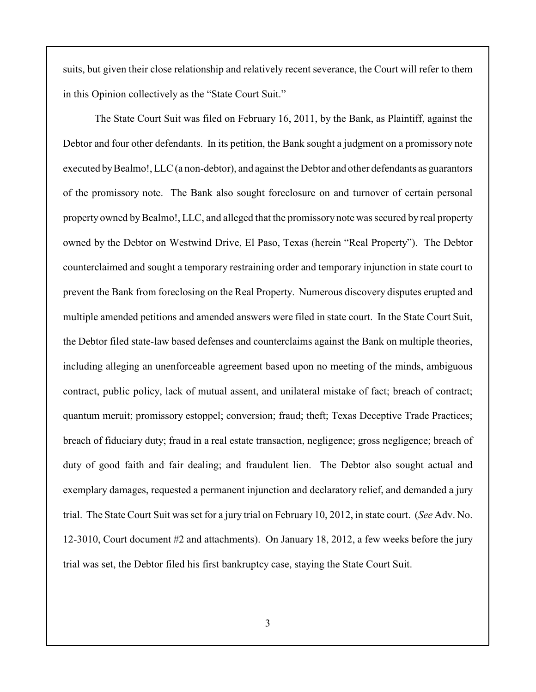suits, but given their close relationship and relatively recent severance, the Court will refer to them in this Opinion collectively as the "State Court Suit."

The State Court Suit was filed on February 16, 2011, by the Bank, as Plaintiff, against the Debtor and four other defendants. In its petition, the Bank sought a judgment on a promissory note executed by Bealmo!, LLC (a non-debtor), and against the Debtor and other defendants as guarantors of the promissory note. The Bank also sought foreclosure on and turnover of certain personal property owned by Bealmo!, LLC, and alleged that the promissory note was secured by real property owned by the Debtor on Westwind Drive, El Paso, Texas (herein "Real Property"). The Debtor counterclaimed and sought a temporary restraining order and temporary injunction in state court to prevent the Bank from foreclosing on the Real Property. Numerous discovery disputes erupted and multiple amended petitions and amended answers were filed in state court. In the State Court Suit, the Debtor filed state-law based defenses and counterclaims against the Bank on multiple theories, including alleging an unenforceable agreement based upon no meeting of the minds, ambiguous contract, public policy, lack of mutual assent, and unilateral mistake of fact; breach of contract; quantum meruit; promissory estoppel; conversion; fraud; theft; Texas Deceptive Trade Practices; breach of fiduciary duty; fraud in a real estate transaction, negligence; gross negligence; breach of duty of good faith and fair dealing; and fraudulent lien. The Debtor also sought actual and exemplary damages, requested a permanent injunction and declaratory relief, and demanded a jury trial. The State Court Suit was set for a jury trial on February 10, 2012, in state court. (*See* Adv. No. 12-3010, Court document #2 and attachments). On January 18, 2012, a few weeks before the jury trial was set, the Debtor filed his first bankruptcy case, staying the State Court Suit.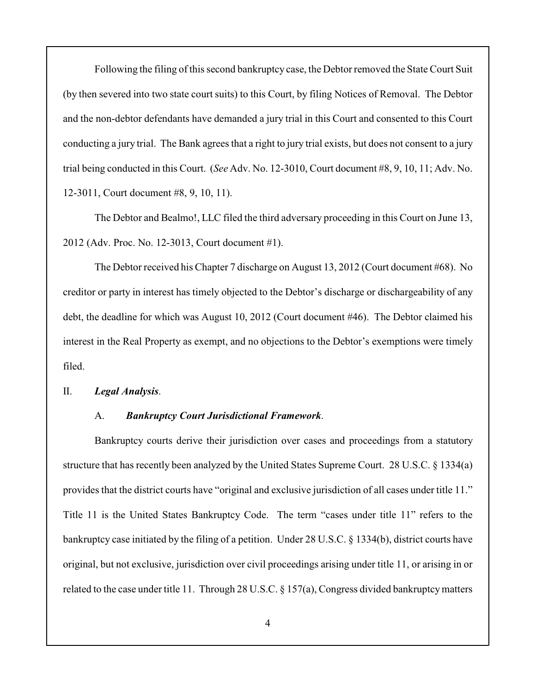Following the filing of this second bankruptcy case, the Debtor removed the StateCourt Suit (by then severed into two state court suits) to this Court, by filing Notices of Removal. The Debtor and the non-debtor defendants have demanded a jury trial in this Court and consented to this Court conducting a jury trial. The Bank agrees that a right to jury trial exists, but does not consent to a jury trial being conducted in this Court. (*See* Adv. No. 12-3010, Court document #8, 9, 10, 11; Adv. No. 12-3011, Court document #8, 9, 10, 11).

The Debtor and Bealmo!, LLC filed the third adversary proceeding in this Court on June 13, 2012 (Adv. Proc. No. 12-3013, Court document #1).

The Debtor received his Chapter 7 discharge on August 13, 2012 (Court document #68). No creditor or party in interest has timely objected to the Debtor's discharge or dischargeability of any debt, the deadline for which was August 10, 2012 (Court document #46). The Debtor claimed his interest in the Real Property as exempt, and no objections to the Debtor's exemptions were timely filed.

## II. *Legal Analysis*.

## A. *Bankruptcy Court Jurisdictional Framework*.

Bankruptcy courts derive their jurisdiction over cases and proceedings from a statutory structure that has recently been analyzed by the United States Supreme Court. 28 U.S.C. § 1334(a) provides that the district courts have "original and exclusive jurisdiction of all cases under title 11." Title 11 is the United States Bankruptcy Code. The term "cases under title 11" refers to the bankruptcy case initiated by the filing of a petition. Under 28 U.S.C. § 1334(b), district courts have original, but not exclusive, jurisdiction over civil proceedings arising under title 11, or arising in or related to the case under title 11. Through 28 U.S.C. § 157(a), Congress divided bankruptcy matters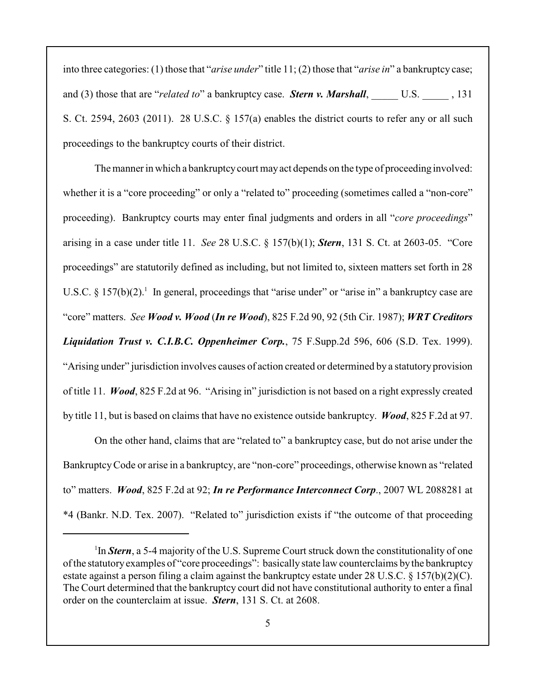into three categories: (1) those that "*arise under*" title 11; (2) those that "*arise in*" a bankruptcy case; and (3) those that are "*related to*" a bankruptcy case. *Stern v. Marshall*, U.S. 131 S. Ct. 2594, 2603 (2011). 28 U.S.C. § 157(a) enables the district courts to refer any or all such proceedings to the bankruptcy courts of their district.

The manner in which a bankruptcy court may act depends on the type of proceeding involved: whether it is a "core proceeding" or only a "related to" proceeding (sometimes called a "non-core" proceeding). Bankruptcy courts may enter final judgments and orders in all "*core proceedings*" arising in a case under title 11. *See* 28 U.S.C. § 157(b)(1); *Stern*, 131 S. Ct. at 2603-05. "Core proceedings" are statutorily defined as including, but not limited to, sixteen matters set forth in 28 U.S.C. § 157(b)(2).<sup>1</sup> In general, proceedings that "arise under" or "arise in" a bankruptcy case are "core" matters. *See Wood v. Wood* (*In re Wood*), 825 F.2d 90, 92 (5th Cir. 1987); *WRT Creditors Liquidation Trust v. C.I.B.C. Oppenheimer Corp.*, 75 F.Supp.2d 596, 606 (S.D. Tex. 1999). "Arising under" jurisdiction involves causes of action created or determined by a statutory provision of title 11. *Wood*, 825 F.2d at 96. "Arising in" jurisdiction is not based on a right expressly created by title 11, but is based on claims that have no existence outside bankruptcy. *Wood*, 825 F.2d at 97.

On the other hand, claims that are "related to" a bankruptcy case, but do not arise under the BankruptcyCode or arise in a bankruptcy, are "non-core" proceedings, otherwise known as "related to" matters. *Wood*, 825 F.2d at 92; *In re Performance Interconnect Corp*., 2007 WL 2088281 at \*4 (Bankr. N.D. Tex. 2007). "Related to" jurisdiction exists if "the outcome of that proceeding

<sup>&</sup>lt;sup>1</sup>In *Stern*, a 5-4 majority of the U.S. Supreme Court struck down the constitutionality of one of the statutory examples of "core proceedings": basically state law counterclaims by the bankruptcy estate against a person filing a claim against the bankruptcy estate under 28 U.S.C. § 157(b)(2)(C). The Court determined that the bankruptcy court did not have constitutional authority to enter a final order on the counterclaim at issue. *Stern*, 131 S. Ct. at 2608.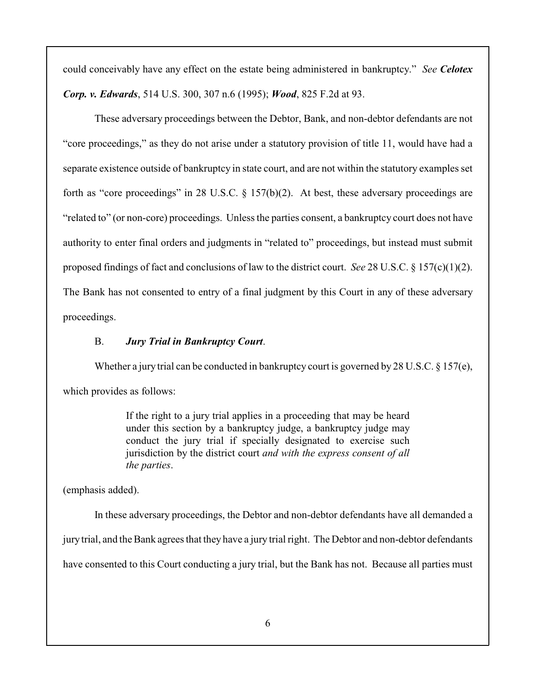could conceivably have any effect on the estate being administered in bankruptcy." *See Celotex Corp. v. Edwards*, 514 U.S. 300, 307 n.6 (1995); *Wood*, 825 F.2d at 93.

These adversary proceedings between the Debtor, Bank, and non-debtor defendants are not "core proceedings," as they do not arise under a statutory provision of title 11, would have had a separate existence outside of bankruptcy in state court, and are not within the statutory examples set forth as "core proceedings" in 28 U.S.C.  $\S$  157(b)(2). At best, these adversary proceedings are "related to" (or non-core) proceedings. Unless the parties consent, a bankruptcy court does not have authority to enter final orders and judgments in "related to" proceedings, but instead must submit proposed findings of fact and conclusions of law to the district court. *See* 28 U.S.C. § 157(c)(1)(2). The Bank has not consented to entry of a final judgment by this Court in any of these adversary proceedings.

# B. *Jury Trial in Bankruptcy Court*.

Whether a jury trial can be conducted in bankruptcy court is governed by 28 U.S.C.  $\S 157(e)$ , which provides as follows:

> If the right to a jury trial applies in a proceeding that may be heard under this section by a bankruptcy judge, a bankruptcy judge may conduct the jury trial if specially designated to exercise such jurisdiction by the district court *and with the express consent of all the parties*.

(emphasis added).

In these adversary proceedings, the Debtor and non-debtor defendants have all demanded a jury trial, and the Bank agrees that they have a jury trial right. The Debtor and non-debtor defendants have consented to this Court conducting a jury trial, but the Bank has not. Because all parties must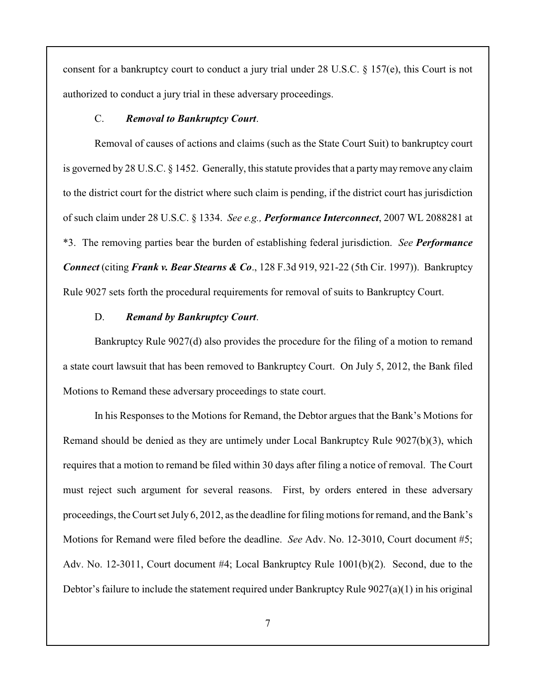consent for a bankruptcy court to conduct a jury trial under 28 U.S.C. § 157(e), this Court is not authorized to conduct a jury trial in these adversary proceedings.

### C. *Removal to Bankruptcy Court*.

Removal of causes of actions and claims (such as the State Court Suit) to bankruptcy court is governed by 28 U.S.C. § 1452. Generally, this statute provides that a party may remove any claim to the district court for the district where such claim is pending, if the district court has jurisdiction of such claim under 28 U.S.C. § 1334. *See e.g., Performance Interconnect*, 2007 WL 2088281 at \*3. The removing parties bear the burden of establishing federal jurisdiction. *See Performance Connect* (citing *Frank v. Bear Stearns & Co*., 128 F.3d 919, 921-22 (5th Cir. 1997)). Bankruptcy Rule 9027 sets forth the procedural requirements for removal of suits to Bankruptcy Court.

## D. *Remand by Bankruptcy Court*.

Bankruptcy Rule 9027(d) also provides the procedure for the filing of a motion to remand a state court lawsuit that has been removed to Bankruptcy Court. On July 5, 2012, the Bank filed Motions to Remand these adversary proceedings to state court.

In his Responses to the Motions for Remand, the Debtor argues that the Bank's Motions for Remand should be denied as they are untimely under Local Bankruptcy Rule 9027(b)(3), which requires that a motion to remand be filed within 30 days after filing a notice of removal. The Court must reject such argument for several reasons. First, by orders entered in these adversary proceedings, the Court set July 6, 2012, as the deadline for filing motions for remand, and the Bank's Motions for Remand were filed before the deadline. *See* Adv. No. 12-3010, Court document #5; Adv. No. 12-3011, Court document #4; Local Bankruptcy Rule 1001(b)(2). Second, due to the Debtor's failure to include the statement required under Bankruptcy Rule 9027(a)(1) in his original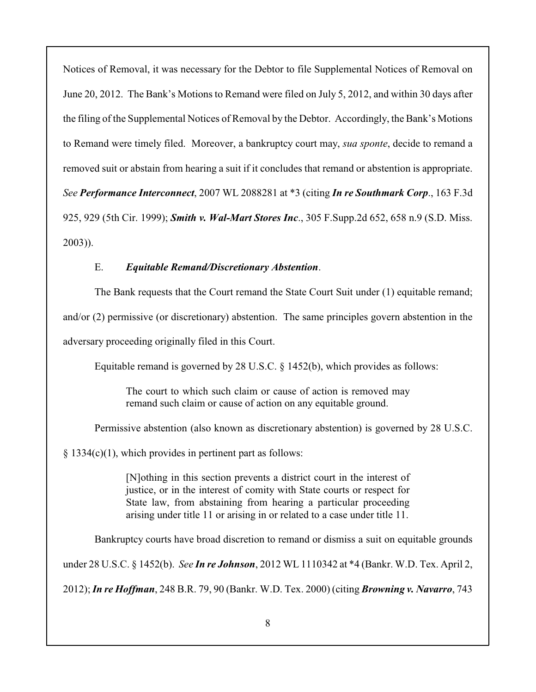Notices of Removal, it was necessary for the Debtor to file Supplemental Notices of Removal on June 20, 2012. The Bank's Motions to Remand were filed on July 5, 2012, and within 30 days after the filing of the Supplemental Notices of Removal by the Debtor. Accordingly, the Bank's Motions to Remand were timely filed. Moreover, a bankruptcy court may, *sua sponte*, decide to remand a removed suit or abstain from hearing a suit if it concludes that remand or abstention is appropriate. *See Performance Interconnect*, 2007 WL 2088281 at \*3 (citing *In re Southmark Corp*., 163 F.3d 925, 929 (5th Cir. 1999); *Smith v. Wal-Mart Stores Inc*., 305 F.Supp.2d 652, 658 n.9 (S.D. Miss. 2003)).

# E. *Equitable Remand/Discretionary Abstention*.

The Bank requests that the Court remand the State Court Suit under (1) equitable remand; and/or (2) permissive (or discretionary) abstention. The same principles govern abstention in the adversary proceeding originally filed in this Court.

Equitable remand is governed by 28 U.S.C. § 1452(b), which provides as follows:

The court to which such claim or cause of action is removed may remand such claim or cause of action on any equitable ground.

Permissive abstention (also known as discretionary abstention) is governed by 28 U.S.C.

§ 1334(c)(1), which provides in pertinent part as follows:

[N]othing in this section prevents a district court in the interest of justice, or in the interest of comity with State courts or respect for State law, from abstaining from hearing a particular proceeding arising under title 11 or arising in or related to a case under title 11.

Bankruptcy courts have broad discretion to remand or dismiss a suit on equitable grounds

under 28 U.S.C. § 1452(b). *See In re Johnson*, 2012 WL 1110342 at \*4 (Bankr. W.D. Tex. April 2,

2012);*In re Hoffman*, 248 B.R. 79, 90 (Bankr. W.D. Tex. 2000) (citing *Browning v. Navarro*, 743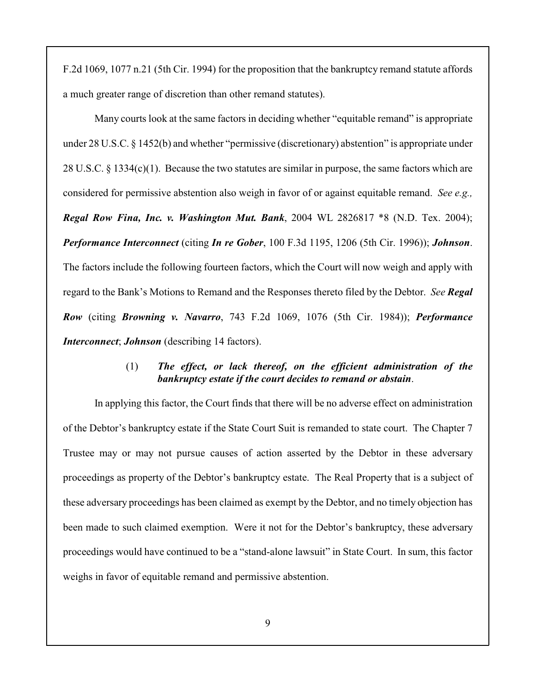F.2d 1069, 1077 n.21 (5th Cir. 1994) for the proposition that the bankruptcy remand statute affords a much greater range of discretion than other remand statutes).

Many courts look at the same factors in deciding whether "equitable remand" is appropriate under 28 U.S.C. § 1452(b) and whether "permissive (discretionary) abstention" is appropriate under 28 U.S.C. § 1334(c)(1). Because the two statutes are similar in purpose, the same factors which are considered for permissive abstention also weigh in favor of or against equitable remand. *See e.g., Regal Row Fina, Inc. v. Washington Mut. Bank*, 2004 WL 2826817 \*8 (N.D. Tex. 2004); *Performance Interconnect* (citing *In re Gober*, 100 F.3d 1195, 1206 (5th Cir. 1996)); *Johnson*. The factors include the following fourteen factors, which the Court will now weigh and apply with regard to the Bank's Motions to Remand and the Responses thereto filed by the Debtor. *See Regal Row* (citing *Browning v. Navarro*, 743 F.2d 1069, 1076 (5th Cir. 1984)); *Performance Interconnect*; *Johnson* (describing 14 factors).

# (1) *The effect, or lack thereof, on the efficient administration of the bankruptcy estate if the court decides to remand or abstain*.

In applying this factor, the Court finds that there will be no adverse effect on administration of the Debtor's bankruptcy estate if the State Court Suit is remanded to state court. The Chapter 7 Trustee may or may not pursue causes of action asserted by the Debtor in these adversary proceedings as property of the Debtor's bankruptcy estate. The Real Property that is a subject of these adversary proceedings has been claimed as exempt by the Debtor, and no timely objection has been made to such claimed exemption. Were it not for the Debtor's bankruptcy, these adversary proceedings would have continued to be a "stand-alone lawsuit" in State Court. In sum, this factor weighs in favor of equitable remand and permissive abstention.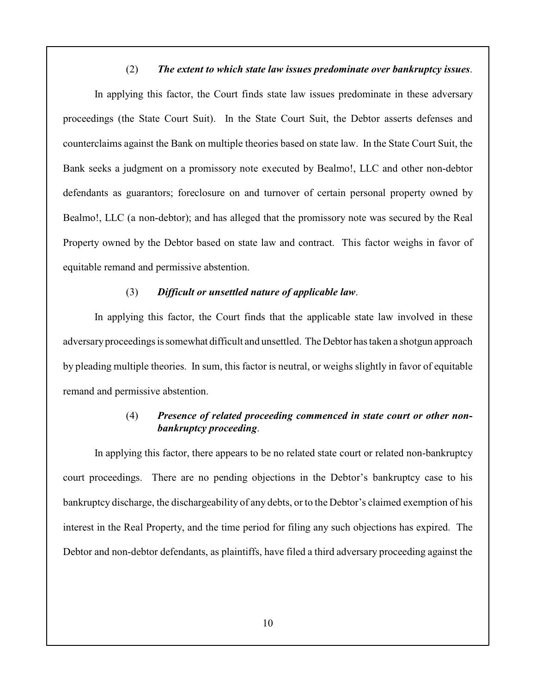## (2) *The extent to which state law issues predominate over bankruptcy issues*.

In applying this factor, the Court finds state law issues predominate in these adversary proceedings (the State Court Suit). In the State Court Suit, the Debtor asserts defenses and counterclaims against the Bank on multiple theories based on state law. In the State Court Suit, the Bank seeks a judgment on a promissory note executed by Bealmo!, LLC and other non-debtor defendants as guarantors; foreclosure on and turnover of certain personal property owned by Bealmo!, LLC (a non-debtor); and has alleged that the promissory note was secured by the Real Property owned by the Debtor based on state law and contract. This factor weighs in favor of equitable remand and permissive abstention.

#### (3) *Difficult or unsettled nature of applicable law*.

In applying this factor, the Court finds that the applicable state law involved in these adversary proceedings is somewhat difficult and unsettled. The Debtor has taken a shotgun approach by pleading multiple theories. In sum, this factor is neutral, or weighs slightly in favor of equitable remand and permissive abstention.

# (4) *Presence of related proceeding commenced in state court or other nonbankruptcy proceeding*.

In applying this factor, there appears to be no related state court or related non-bankruptcy court proceedings. There are no pending objections in the Debtor's bankruptcy case to his bankruptcy discharge, the dischargeability of any debts, or to the Debtor's claimed exemption of his interest in the Real Property, and the time period for filing any such objections has expired. The Debtor and non-debtor defendants, as plaintiffs, have filed a third adversary proceeding against the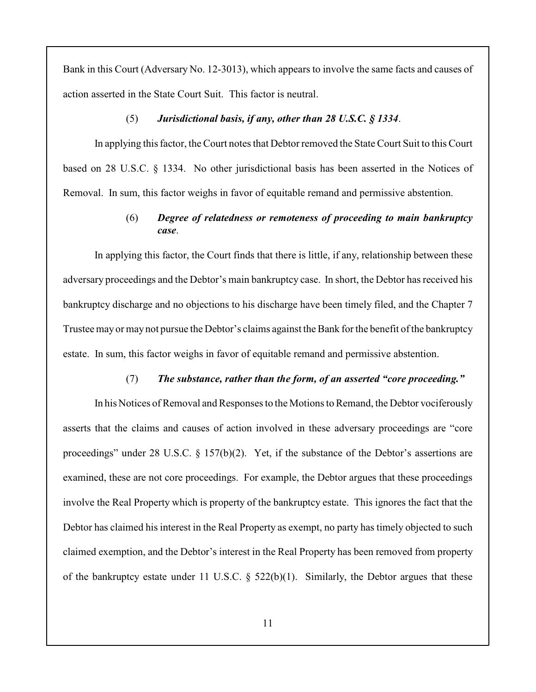Bank in this Court (Adversary No. 12-3013), which appears to involve the same facts and causes of action asserted in the State Court Suit. This factor is neutral.

### (5) *Jurisdictional basis, if any, other than 28 U.S.C. § 1334*.

In applying this factor, the Court notes that Debtor removed the State Court Suit to this Court based on 28 U.S.C. § 1334. No other jurisdictional basis has been asserted in the Notices of Removal. In sum, this factor weighs in favor of equitable remand and permissive abstention.

# (6) *Degree of relatedness or remoteness of proceeding to main bankruptcy case*.

In applying this factor, the Court finds that there is little, if any, relationship between these adversary proceedings and the Debtor's main bankruptcy case. In short, the Debtor has received his bankruptcy discharge and no objections to his discharge have been timely filed, and the Chapter 7 Trustee may or may not pursue the Debtor's claims against the Bank for the benefit of the bankruptcy estate. In sum, this factor weighs in favor of equitable remand and permissive abstention.

### (7) *The substance, rather than the form, of an asserted "core proceeding."*

In his Notices of Removal and Responses to the Motions to Remand, the Debtor vociferously asserts that the claims and causes of action involved in these adversary proceedings are "core proceedings" under 28 U.S.C. § 157(b)(2). Yet, if the substance of the Debtor's assertions are examined, these are not core proceedings. For example, the Debtor argues that these proceedings involve the Real Property which is property of the bankruptcy estate. This ignores the fact that the Debtor has claimed his interest in the Real Property as exempt, no party has timely objected to such claimed exemption, and the Debtor's interest in the Real Property has been removed from property of the bankruptcy estate under 11 U.S.C.  $\S$  522(b)(1). Similarly, the Debtor argues that these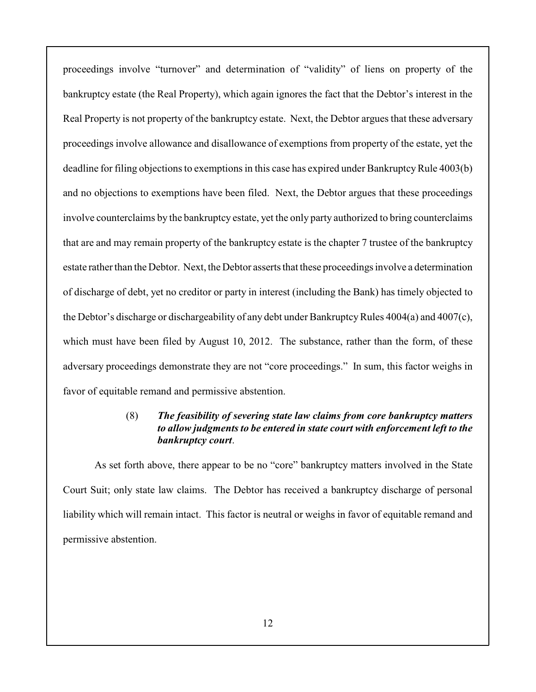proceedings involve "turnover" and determination of "validity" of liens on property of the bankruptcy estate (the Real Property), which again ignores the fact that the Debtor's interest in the Real Property is not property of the bankruptcy estate. Next, the Debtor argues that these adversary proceedings involve allowance and disallowance of exemptions from property of the estate, yet the deadline for filing objections to exemptions in this case has expired under Bankruptcy Rule 4003(b) and no objections to exemptions have been filed. Next, the Debtor argues that these proceedings involve counterclaims by the bankruptcy estate, yet the only party authorized to bring counterclaims that are and may remain property of the bankruptcy estate is the chapter 7 trustee of the bankruptcy estate rather than the Debtor. Next, the Debtor asserts that these proceedings involve a determination of discharge of debt, yet no creditor or party in interest (including the Bank) has timely objected to the Debtor's discharge or dischargeability of any debt under Bankruptcy Rules 4004(a) and 4007(c), which must have been filed by August 10, 2012. The substance, rather than the form, of these adversary proceedings demonstrate they are not "core proceedings." In sum, this factor weighs in favor of equitable remand and permissive abstention.

## (8) *The feasibility of severing state law claims from core bankruptcy matters to allow judgments to be entered in state court with enforcement left to the bankruptcy court*.

As set forth above, there appear to be no "core" bankruptcy matters involved in the State Court Suit; only state law claims. The Debtor has received a bankruptcy discharge of personal liability which will remain intact. This factor is neutral or weighs in favor of equitable remand and permissive abstention.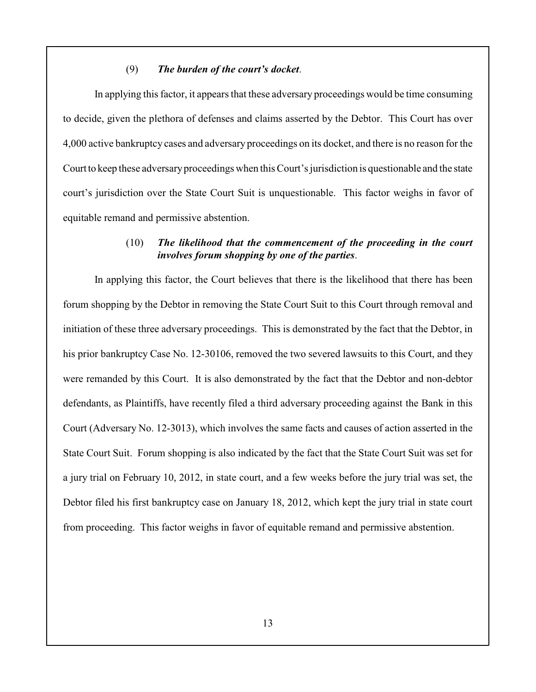### (9) *The burden of the court's docket*.

In applying this factor, it appears that these adversary proceedings would be time consuming to decide, given the plethora of defenses and claims asserted by the Debtor. This Court has over 4,000 active bankruptcy cases and adversary proceedings on its docket, and there is no reason for the Court to keep these adversary proceedings when this Court's jurisdiction is questionable and the state court's jurisdiction over the State Court Suit is unquestionable. This factor weighs in favor of equitable remand and permissive abstention.

# (10) *The likelihood that the commencement of the proceeding in the court involves forum shopping by one of the parties*.

In applying this factor, the Court believes that there is the likelihood that there has been forum shopping by the Debtor in removing the State Court Suit to this Court through removal and initiation of these three adversary proceedings. This is demonstrated by the fact that the Debtor, in his prior bankruptcy Case No. 12-30106, removed the two severed lawsuits to this Court, and they were remanded by this Court. It is also demonstrated by the fact that the Debtor and non-debtor defendants, as Plaintiffs, have recently filed a third adversary proceeding against the Bank in this Court (Adversary No. 12-3013), which involves the same facts and causes of action asserted in the State Court Suit. Forum shopping is also indicated by the fact that the State Court Suit was set for a jury trial on February 10, 2012, in state court, and a few weeks before the jury trial was set, the Debtor filed his first bankruptcy case on January 18, 2012, which kept the jury trial in state court from proceeding. This factor weighs in favor of equitable remand and permissive abstention.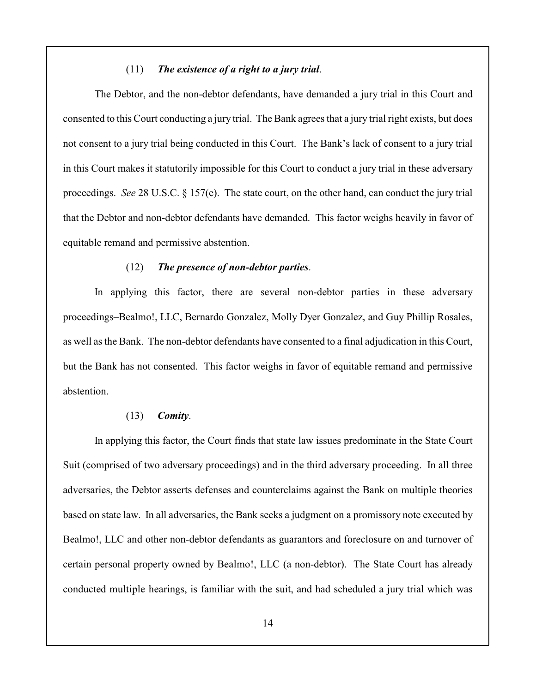## (11) *The existence of a right to a jury trial*.

The Debtor, and the non-debtor defendants, have demanded a jury trial in this Court and consented to this Court conducting a jury trial. The Bank agrees that a jury trial right exists, but does not consent to a jury trial being conducted in this Court. The Bank's lack of consent to a jury trial in this Court makes it statutorily impossible for this Court to conduct a jury trial in these adversary proceedings. *See* 28 U.S.C. § 157(e). The state court, on the other hand, can conduct the jury trial that the Debtor and non-debtor defendants have demanded. This factor weighs heavily in favor of equitable remand and permissive abstention.

#### (12) *The presence of non-debtor parties*.

In applying this factor, there are several non-debtor parties in these adversary proceedings–Bealmo!, LLC, Bernardo Gonzalez, Molly Dyer Gonzalez, and Guy Phillip Rosales, as well as the Bank. The non-debtor defendants have consented to a final adjudication in this Court, but the Bank has not consented. This factor weighs in favor of equitable remand and permissive abstention.

#### (13) *Comity*.

In applying this factor, the Court finds that state law issues predominate in the State Court Suit (comprised of two adversary proceedings) and in the third adversary proceeding. In all three adversaries, the Debtor asserts defenses and counterclaims against the Bank on multiple theories based on state law. In all adversaries, the Bank seeks a judgment on a promissory note executed by Bealmo!, LLC and other non-debtor defendants as guarantors and foreclosure on and turnover of certain personal property owned by Bealmo!, LLC (a non-debtor). The State Court has already conducted multiple hearings, is familiar with the suit, and had scheduled a jury trial which was